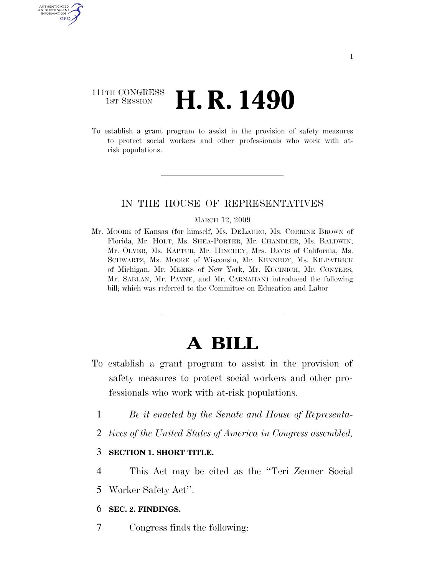## 111TH CONGRESS **1st Session H. R. 1490**

AUTHENTICATED U.S. GOVERNMENT GPO

> To establish a grant program to assist in the provision of safety measures to protect social workers and other professionals who work with atrisk populations.

### IN THE HOUSE OF REPRESENTATIVES

#### MARCH 12, 2009

Mr. MOORE of Kansas (for himself, Ms. DELAURO, Ms. CORRINE BROWN of Florida, Mr. HOLT, Ms. SHEA-PORTER, Mr. CHANDLER, Ms. BALDWIN, Mr. OLVER, Ms. KAPTUR, Mr. HINCHEY, Mrs. DAVIS of California, Ms. SCHWARTZ, Ms. MOORE of Wisconsin, Mr. KENNEDY, Ms. KILPATRICK of Michigan, Mr. MEEKS of New York, Mr. KUCINICH, Mr. CONYERS, Mr. SABLAN, Mr. PAYNE, and Mr. CARNAHAN) introduced the following bill; which was referred to the Committee on Education and Labor

# **A BILL**

- To establish a grant program to assist in the provision of safety measures to protect social workers and other professionals who work with at-risk populations.
	- 1 *Be it enacted by the Senate and House of Representa-*
	- 2 *tives of the United States of America in Congress assembled,*

### 3 **SECTION 1. SHORT TITLE.**

- 4 This Act may be cited as the ''Teri Zenner Social
- 5 Worker Safety Act''.

### 6 **SEC. 2. FINDINGS.**

7 Congress finds the following: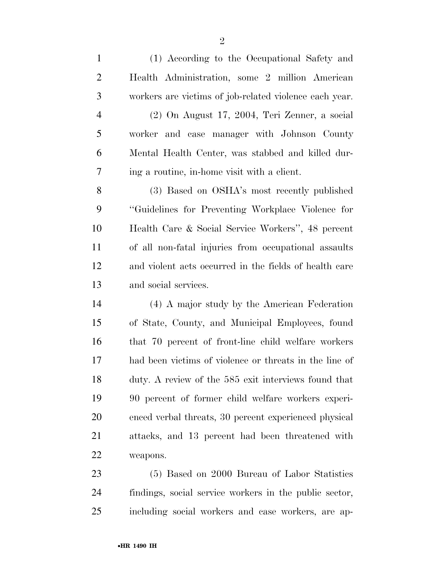(1) According to the Occupational Safety and Health Administration, some 2 million American workers are victims of job-related violence each year. (2) On August 17, 2004, Teri Zenner, a social worker and case manager with Johnson County Mental Health Center, was stabbed and killed dur- ing a routine, in-home visit with a client. (3) Based on OSHA's most recently published ''Guidelines for Preventing Workplace Violence for Health Care & Social Service Workers'', 48 percent of all non-fatal injuries from occupational assaults

 and violent acts occurred in the fields of health care and social services.

 (4) A major study by the American Federation of State, County, and Municipal Employees, found that 70 percent of front-line child welfare workers had been victims of violence or threats in the line of duty. A review of the 585 exit interviews found that 90 percent of former child welfare workers experi- enced verbal threats, 30 percent experienced physical attacks, and 13 percent had been threatened with weapons.

 (5) Based on 2000 Bureau of Labor Statistics findings, social service workers in the public sector, including social workers and case workers, are ap-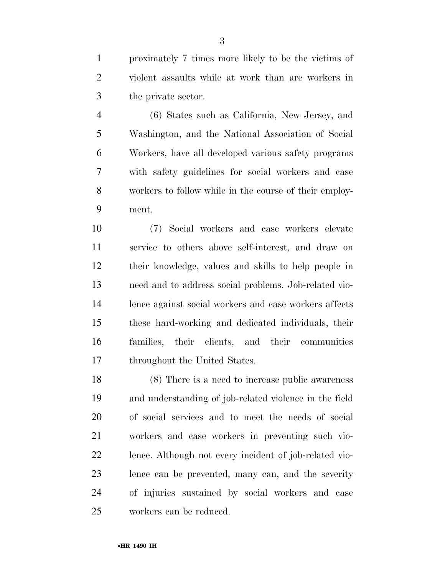proximately 7 times more likely to be the victims of violent assaults while at work than are workers in the private sector.

 (6) States such as California, New Jersey, and Washington, and the National Association of Social Workers, have all developed various safety programs with safety guidelines for social workers and case workers to follow while in the course of their employ-ment.

 (7) Social workers and case workers elevate service to others above self-interest, and draw on their knowledge, values and skills to help people in need and to address social problems. Job-related vio- lence against social workers and case workers affects these hard-working and dedicated individuals, their families, their clients, and their communities throughout the United States.

 (8) There is a need to increase public awareness and understanding of job-related violence in the field of social services and to meet the needs of social workers and case workers in preventing such vio- lence. Although not every incident of job-related vio- lence can be prevented, many can, and the severity of injuries sustained by social workers and case workers can be reduced.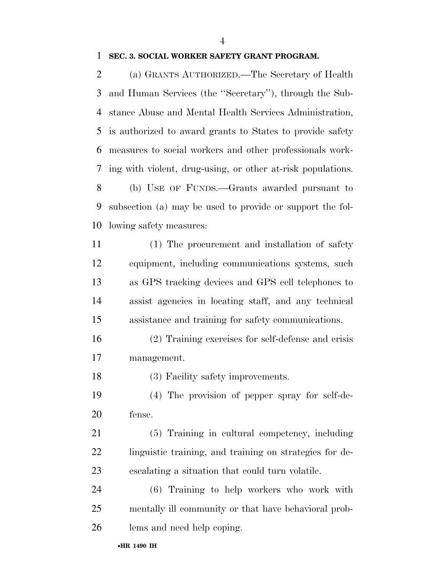### **SEC. 3. SOCIAL WORKER SAFETY GRANT PROGRAM.**

 (a) GRANTS AUTHORIZED.—The Secretary of Health and Human Services (the ''Secretary''), through the Sub- stance Abuse and Mental Health Services Administration, is authorized to award grants to States to provide safety measures to social workers and other professionals work- ing with violent, drug-using, or other at-risk populations. (b) USE OF FUNDS.—Grants awarded pursuant to subsection (a) may be used to provide or support the fol-lowing safety measures:

- (1) The procurement and installation of safety equipment, including communications systems, such as GPS tracking devices and GPS cell telephones to assist agencies in locating staff, and any technical assistance and training for safety communications.
- (2) Training exercises for self-defense and crisis management.

18 (3) Facility safety improvements.

 (4) The provision of pepper spray for self-de-fense.

 (5) Training in cultural competency, including linguistic training, and training on strategies for de-escalating a situation that could turn volatile.

 (6) Training to help workers who work with mentally ill community or that have behavioral prob-lems and need help coping.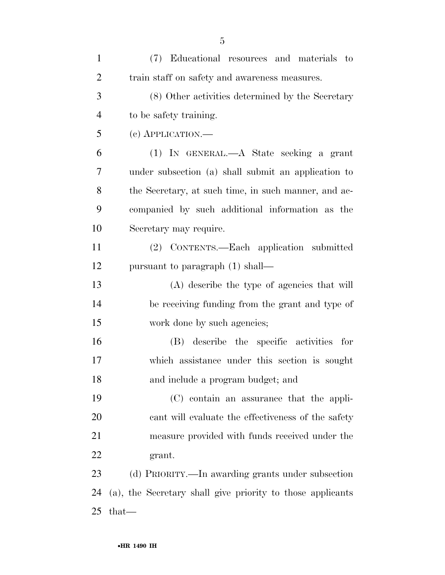| $\mathbf{1}$   | (7) Educational resources and materials to                 |
|----------------|------------------------------------------------------------|
| $\overline{2}$ | train staff on safety and awareness measures.              |
| 3              | (8) Other activities determined by the Secretary           |
| $\overline{4}$ | to be safety training.                                     |
| 5              | (c) APPLICATION.—                                          |
| 6              | (1) IN GENERAL.—A State seeking a grant                    |
| 7              | under subsection (a) shall submit an application to        |
| 8              | the Secretary, at such time, in such manner, and ac-       |
| 9              | companied by such additional information as the            |
| 10             | Secretary may require.                                     |
| 11             | (2) CONTENTS.—Each application submitted                   |
| 12             | pursuant to paragraph (1) shall—                           |
| 13             | (A) describe the type of agencies that will                |
| 14             | be receiving funding from the grant and type of            |
| 15             | work done by such agencies;                                |
| 16             | (B) describe the specific activities for                   |
| 17             | which assistance under this section is sought              |
| 18             | and include a program budget; and                          |
| 19             | (C) contain an assurance that the appli-                   |
| 20             | cant will evaluate the effectiveness of the safety         |
| 21             | measure provided with funds received under the             |
| 22             | grant.                                                     |
| 23             | (d) PRIORITY.—In awarding grants under subsection          |
| 24             | (a), the Secretary shall give priority to those applicants |
| 25             | that-                                                      |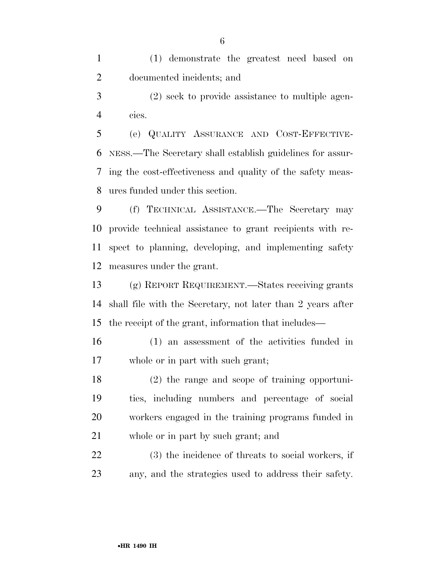(1) demonstrate the greatest need based on documented incidents; and

 (2) seek to provide assistance to multiple agen-cies.

 (e) QUALITY ASSURANCE AND COST-EFFECTIVE- NESS.—The Secretary shall establish guidelines for assur- ing the cost-effectiveness and quality of the safety meas-ures funded under this section.

 (f) TECHNICAL ASSISTANCE.—The Secretary may provide technical assistance to grant recipients with re- spect to planning, developing, and implementing safety measures under the grant.

 (g) REPORT REQUIREMENT.—States receiving grants shall file with the Secretary, not later than 2 years after the receipt of the grant, information that includes—

 (1) an assessment of the activities funded in whole or in part with such grant;

 (2) the range and scope of training opportuni- ties, including numbers and percentage of social workers engaged in the training programs funded in whole or in part by such grant; and

 (3) the incidence of threats to social workers, if any, and the strategies used to address their safety.